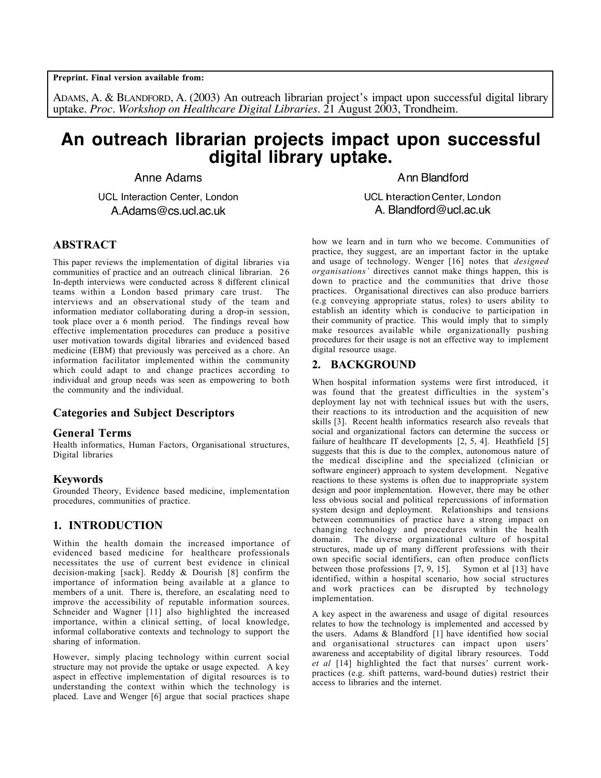**Preprint. Final version available from:**

ADAMS, A. & BLANDFORD, A. (2003) An outreach librarian project's impact upon successful digital library uptake. *Proc. Workshop on Healthcare Digital Libraries.* 21 August 2003, Trondheim.

# **An outreach librarian projects impact upon successful digital library uptake.**

Anne Adams

UCL Interaction Center, London A.Adams@cs.ucl.ac.uk

#### **ABSTRACT**

This paper reviews the implementation of digital libraries via communities of practice and an outreach clinical librarian. 26 In-depth interviews were conducted across 8 different clinical teams within a London based primary care trust. The interviews and an observational study of the team and information mediator collaborating during a drop-in session, took place over a 6 month period. The findings reveal how effective implementation procedures can produce a positive user motivation towards digital libraries and evidenced based medicine (EBM) that previously was perceived as a chore. An information facilitator implemented within the community which could adapt to and change practices according to individual and group needs was seen as empowering to both the community and the individual.

#### **Categories and Subject Descriptors**

#### **General Terms**

Health informatics, Human Factors, Organisational structures, Digital libraries

#### **Keywords**

Grounded Theory, Evidence based medicine, implementation procedures, communities of practice.

## **1. INTRODUCTION**

Within the health domain the increased importance of evidenced based medicine for healthcare professionals necessitates the use of current best evidence in clinical decision-making [sack]. Reddy & Dourish [8] confirm the importance of information being available at a glance to members of a unit. There is, therefore, an escalating need to improve the accessibility of reputable information sources. Schneider and Wagner [11] also highlighted the increased importance, within a clinical setting, of local knowledge, informal collaborative contexts and technology to support the sharing of information.

However, simply placing technology within current social structure may not provide the uptake or usage expected. A key aspect in effective implementation of digital resources is to understanding the context within which the technology is placed. Lave and Wenger [6] argue that social practices shape

Ann Blandford

UCL Interaction Center, London A. Blandford@ucl.ac.uk

how we learn and in turn who we become. Communities of practice, they suggest, are an important factor in the uptake and usage of technology. Wenger [16] notes that *designed organisations'* directives cannot make things happen, this is down to practice and the communities that drive those practices. Organisational directives can also produce barriers (e.g conveying appropriate status, roles) to users ability to establish an identity which is conducive to participation in their community of practice. This would imply that to simply make resources available while organizationally pushing procedures for their usage is not an effective way to implement digital resource usage.

#### **2. BACKGROUND**

When hospital information systems were first introduced, it was found that the greatest difficulties in the system's deployment lay not with technical issues but with the users, their reactions to its introduction and the acquisition of new skills [3]. Recent health informatics research also reveals that social and organizational factors can determine the success or failure of healthcare IT developments  $[2, 5, 4]$ . Heathfield  $[5]$ suggests that this is due to the complex, autonomous nature of the medical discipline and the specialized (clinician or software engineer) approach to system development. Negative reactions to these systems is often due to inappropriate system design and poor implementation. However, there may be other less obvious social and political repercussions of information system design and deployment. Relationships and tensions between communities of practice have a strong impact on changing technology and procedures within the health domain. The diverse organizational culture of hospital structures, made up of many different professions with their own specific social identifiers, can often produce conflicts between those professions [7, 9, 15]. Symon et al [13] have identified, within a hospital scenario, how social structures and work practices can be disrupted by technology implementation.

A key aspect in the awareness and usage of digital resources relates to how the technology is implemented and accessed by the users. Adams & Blandford [1] have identified how social and organisational structures can impact upon users' awareness and acceptability of digital library resources. Todd *et al* [14] highlighted the fact that nurses' current workpractices (e.g. shift patterns, ward-bound duties) restrict their access to libraries and the internet.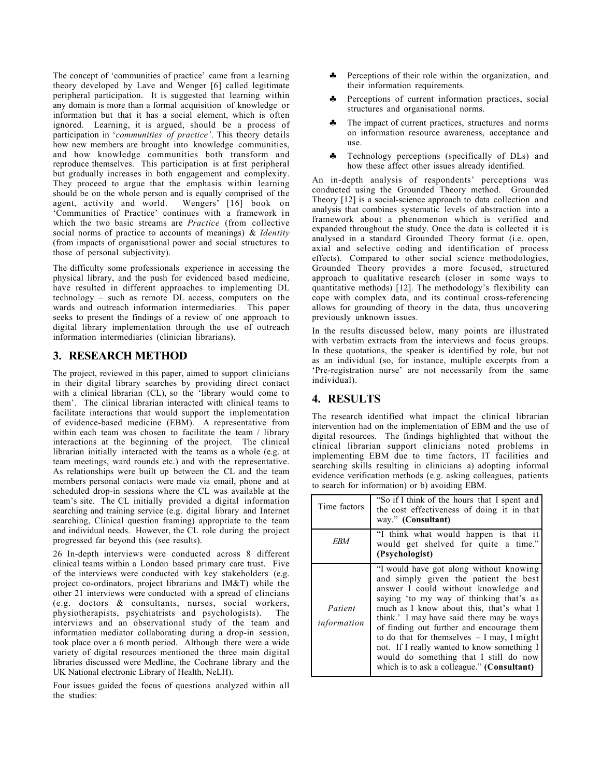The concept of 'communities of practice' came from a learning theory developed by Lave and Wenger [6] called legitimate peripheral participation. It is suggested that learning within any domain is more than a formal acquisition of knowledge or information but that it has a social element, which is often ignored. Learning, it is argued, should be a process of participation in '*communities of practice'*. This theory details how new members are brought into knowledge communities, and how knowledge communities both transform and reproduce themselves. This participation is at first peripheral but gradually increases in both engagement and complexity. They proceed to argue that the emphasis within learning should be on the whole person and is equally comprised of the agent, activity and world. Wengers' [16] book on 'Communities of Practice' continues with a framework in which the two basic streams are *Practice* (from collective social norms of practice to accounts of meanings) & *Identity* (from impacts of organisational power and social structures to those of personal subjectivity).

The difficulty some professionals experience in accessing the physical library, and the push for evidenced based medicine, have resulted in different approaches to implementing DL technology – such as remote DL access, computers on the wards and outreach information intermediaries. This paper seeks to present the findings of a review of one approach to digital library implementation through the use of outreach information intermediaries (clinician librarians).

## **3. RESEARCH METHOD**

The project, reviewed in this paper, aimed to support clinicians in their digital library searches by providing direct contact with a clinical librarian (CL), so the 'library would come to them'. The clinical librarian interacted with clinical teams to facilitate interactions that would support the implementation of evidence-based medicine (EBM). A representative from within each team was chosen to facilitate the team / library interactions at the beginning of the project. The clinical librarian initially interacted with the teams as a whole (e.g. at team meetings, ward rounds etc.) and with the representative. As relationships were built up between the CL and the team members personal contacts were made via email, phone and at scheduled drop-in sessions where the CL was available at the team's site. The CL initially provided a digital information searching and training service (e.g. digital library and Internet searching, Clinical question framing) appropriate to the team and individual needs. However, the CL role during the project progressed far beyond this (see results).

26 In-depth interviews were conducted across 8 different clinical teams within a London based primary care trust. Five of the interviews were conducted with key stakeholders (e.g. project co-ordinators, project librarians and IM&T) while the other 21 interviews were conducted with a spread of clincians (e.g. doctors & consultants, nurses, social workers, physiotherapists, psychiatrists and psychologists). The interviews and an observational study of the team and information mediator collaborating during a drop-in session, took place over a 6 month period. Although there were a wide variety of digital resources mentioned the three main digital libraries discussed were Medline, the Cochrane library and the UK National electronic Library of Health, NeLH).

Four issues guided the focus of questions analyzed within all the studies:

- ♣ Perceptions of their role within the organization, and their information requirements.
- Perceptions of current information practices, social structures and organisational norms.
- ♣ The impact of current practices, structures and norms on information resource awareness, acceptance and use.
- ♣ Technology perceptions (specifically of DLs) and how these affect other issues already identified.

An in-depth analysis of respondents' perceptions was conducted using the Grounded Theory method. Grounded Theory [12] is a social-science approach to data collection and analysis that combines systematic levels of abstraction into a framework about a phenomenon which is verified and expanded throughout the study. Once the data is collected it is analysed in a standard Grounded Theory format (i.e. open, axial and selective coding and identification of process effects). Compared to other social science methodologies, Grounded Theory provides a more focused, structured approach to qualitative research (closer in some ways to quantitative methods) [12]. The methodology's flexibility can cope with complex data, and its continual cross-referencing allows for grounding of theory in the data, thus uncovering previously unknown issues.

In the results discussed below, many points are illustrated with verbatim extracts from the interviews and focus groups. In these quotations, the speaker is identified by role, but not as an individual (so, for instance, multiple excerpts from a 'Pre-registration nurse' are not necessarily from the same individual).

# **4. RESULTS**

The research identified what impact the clinical librarian intervention had on the implementation of EBM and the use of digital resources. The findings highlighted that without the clinical librarian support clinicians noted problems in implementing EBM due to time factors, IT facilities and searching skills resulting in clinicians a) adopting informal evidence verification methods (e.g. asking colleagues, patients to search for information) or b) avoiding EBM.

| Time factors           | "So if I think of the hours that I spent and<br>the cost effectiveness of doing it in that<br>way." (Consultant)                                                                                                                                                                                                                                                                                                                                                                                 |
|------------------------|--------------------------------------------------------------------------------------------------------------------------------------------------------------------------------------------------------------------------------------------------------------------------------------------------------------------------------------------------------------------------------------------------------------------------------------------------------------------------------------------------|
| EBM                    | "I think what would happen is that it<br>would get shelved for quite a time."<br>(Psychologist)                                                                                                                                                                                                                                                                                                                                                                                                  |
| Patient<br>information | "I would have got along without knowing<br>and simply given the patient the best<br>answer I could without knowledge and<br>saying 'to my way of thinking that's as<br>much as I know about this, that's what I<br>think.' I may have said there may be ways<br>of finding out further and encourage them<br>to do that for themselves $-$ I may, I might<br>not. If I really wanted to know something I<br>would do something that I still do now<br>which is to ask a colleague." (Consultant) |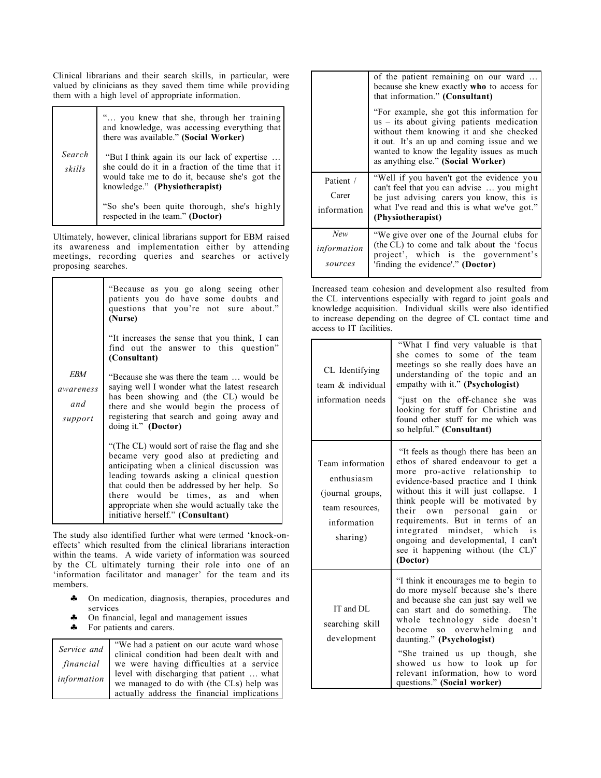Clinical librarians and their search skills, in particular, were valued by clinicians as they saved them time while providing them with a high level of appropriate information.

|                  | " you knew that she, through her training<br>and knowledge, was accessing everything that<br>there was available." (Social Worker)                                                  |
|------------------|-------------------------------------------------------------------------------------------------------------------------------------------------------------------------------------|
| Search<br>skills | "But I think again its our lack of expertise<br>she could do it in a fraction of the time that it<br>would take me to do it, because she's got the<br>knowledge." (Physiotherapist) |
|                  | "So she's been quite thorough, she's highly<br>respected in the team." (Doctor)                                                                                                     |

Ultimately, however, clinical librarians support for EBM raised its awareness and implementation either by attending meetings, recording queries and searches or actively proposing searches.

|                                    | "Because as you go along seeing other<br>patients you do have some doubts and<br>questions that you're not sure about."<br>(Nurse)                                                                                                                                                                                                                               |
|------------------------------------|------------------------------------------------------------------------------------------------------------------------------------------------------------------------------------------------------------------------------------------------------------------------------------------------------------------------------------------------------------------|
|                                    | "It increases the sense that you think, I can<br>find out the answer to this question"<br>(Consultant)                                                                                                                                                                                                                                                           |
| EBM<br>awareness<br>and<br>support | "Because she was there the team  would be<br>saying well I wonder what the latest research<br>has been showing and (the CL) would be<br>there and she would begin the process of<br>registering that search and going away and<br>doing it." (Doctor)                                                                                                            |
|                                    | "(The CL) would sort of raise the flag and she<br>became very good also at predicting and<br>anticipating when a clinical discussion was<br>leading towards asking a clinical question<br>that could then be addressed by her help. So<br>there would be times, as and when<br>appropriate when she would actually take the<br>initiative herself." (Consultant) |

The study also identified further what were termed 'knock-oneffects' which resulted from the clinical librarians interaction within the teams. A wide variety of information was sourced by the CL ultimately turning their role into one of an 'information facilitator and manager' for the team and its members.

- ♣ On medication, diagnosis, therapies, procedures and services
- ♣ On financial, legal and management issues
- For patients and carers.

| Service and | "We had a patient on our acute ward whose                                             |
|-------------|---------------------------------------------------------------------------------------|
|             | clinical condition had been dealt with and                                            |
| financial   | we were having difficulties at a service<br>level with discharging that patient  what |
| information |                                                                                       |
|             | we managed to do with (the CLs) help was                                              |
|             | actually address the financial implications                                           |
|             |                                                                                       |

|                                   | of the patient remaining on our ward<br>because she knew exactly <b>who</b> to access for<br>that information." (Consultant)<br>"For example, she got this information for<br>$us - its$ about giving patients medication<br>without them knowing it and she checked<br>it out. It's an up and coming issue and we<br>wanted to know the legality issues as much<br>as anything else." (Social Worker) |
|-----------------------------------|--------------------------------------------------------------------------------------------------------------------------------------------------------------------------------------------------------------------------------------------------------------------------------------------------------------------------------------------------------------------------------------------------------|
| Patient /<br>Carer<br>information | "Well if you haven't got the evidence you<br>can't feel that you can advise  you might<br>be just advising carers you know, this is<br>what I've read and this is what we've got."<br>(Physiotherapist)                                                                                                                                                                                                |
| New<br>information<br>sources     | "We give over one of the Journal clubs for<br>(the CL) to come and talk about the 'focus<br>project', which is the government's<br>'finding the evidence'." (Doctor)                                                                                                                                                                                                                                   |

Increased team cohesion and development also resulted from the CL interventions especially with regard to joint goals and knowledge acquisition. Individual skills were also identified to increase depending on the degree of CL contact time and access to IT facilities.

| CL Identifying<br>team & individual<br>information needs                                         | "What I find very valuable is that<br>she comes to some of the team<br>meetings so she really does have an<br>understanding of the topic and an<br>empathy with it." (Psychologist)<br>"just on the off-chance she was<br>looking for stuff for Christine and<br>found other stuff for me which was<br>so helpful." (Consultant)                                                                                                                |
|--------------------------------------------------------------------------------------------------|-------------------------------------------------------------------------------------------------------------------------------------------------------------------------------------------------------------------------------------------------------------------------------------------------------------------------------------------------------------------------------------------------------------------------------------------------|
| Team information<br>enthusiasm<br>(journal groups,<br>team resources,<br>information<br>sharing) | "It feels as though there has been an<br>ethos of shared endeavour to get a<br>more pro-active relationship<br>to<br>evidence-based practice and I think<br>without this it will just collapse.<br>T<br>think people will be motivated<br>by<br>their own personal gain<br>or<br>requirements. But in terms of<br>an<br>integrated mindset, which<br>is<br>ongoing and developmental, I can't<br>see it happening without (the CL)"<br>(Doctor) |
| IT and DL<br>searching skill<br>development                                                      | "I think it encourages me to begin to<br>do more myself because she's there<br>and because she can just say well we<br>can start and do something.<br>The<br>whole technology side doesn't<br>so overwhelming<br>become<br>and<br>daunting." (Psychologist)<br>"She trained us up though, she<br>showed us how to look up for<br>relevant information, how to word<br>questions." (Social worker)                                               |